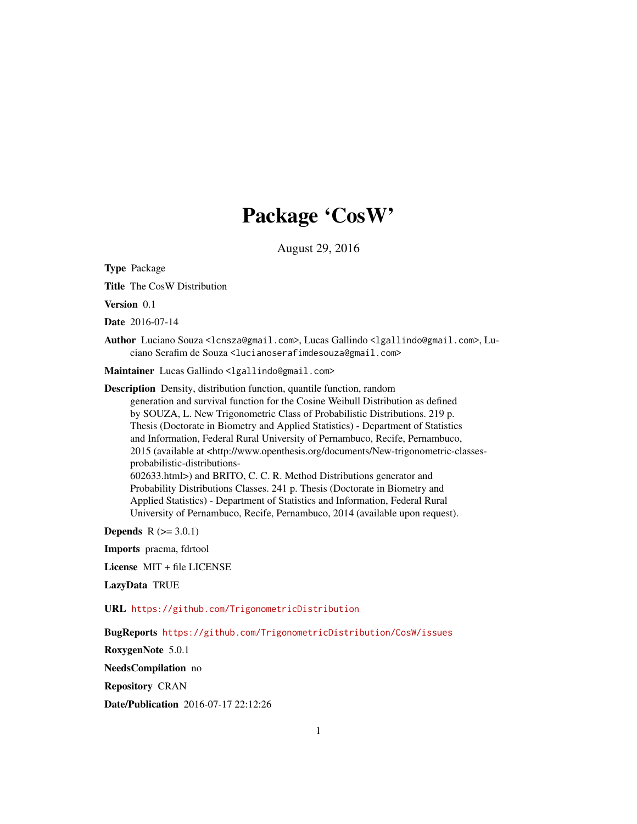# Package 'CosW'

August 29, 2016

Type Package

Title The CosW Distribution

Version 0.1

Date 2016-07-14

Author Luciano Souza <lcnsza@gmail.com>, Lucas Gallindo <lgallindo@gmail.com>, Luciano Serafim de Souza <lucianoserafimdesouza@gmail.com>

Maintainer Lucas Gallindo <lgallindo@gmail.com>

Description Density, distribution function, quantile function, random generation and survival function for the Cosine Weibull Distribution as defined by SOUZA, L. New Trigonometric Class of Probabilistic Distributions. 219 p. Thesis (Doctorate in Biometry and Applied Statistics) - Department of Statistics and Information, Federal Rural University of Pernambuco, Recife, Pernambuco, 2015 (available at <http://www.openthesis.org/documents/New-trigonometric-classesprobabilistic-distributions-602633.html>) and BRITO, C. C. R. Method Distributions generator and Probability Distributions Classes. 241 p. Thesis (Doctorate in Biometry and Applied Statistics) - Department of Statistics and Information, Federal Rural University of Pernambuco, Recife, Pernambuco, 2014 (available upon request).

**Depends**  $R (= 3.0.1)$ 

Imports pracma, fdrtool

License MIT + file LICENSE

LazyData TRUE

URL <https://github.com/TrigonometricDistribution>

BugReports <https://github.com/TrigonometricDistribution/CosW/issues>

RoxygenNote 5.0.1

NeedsCompilation no

Repository CRAN

Date/Publication 2016-07-17 22:12:26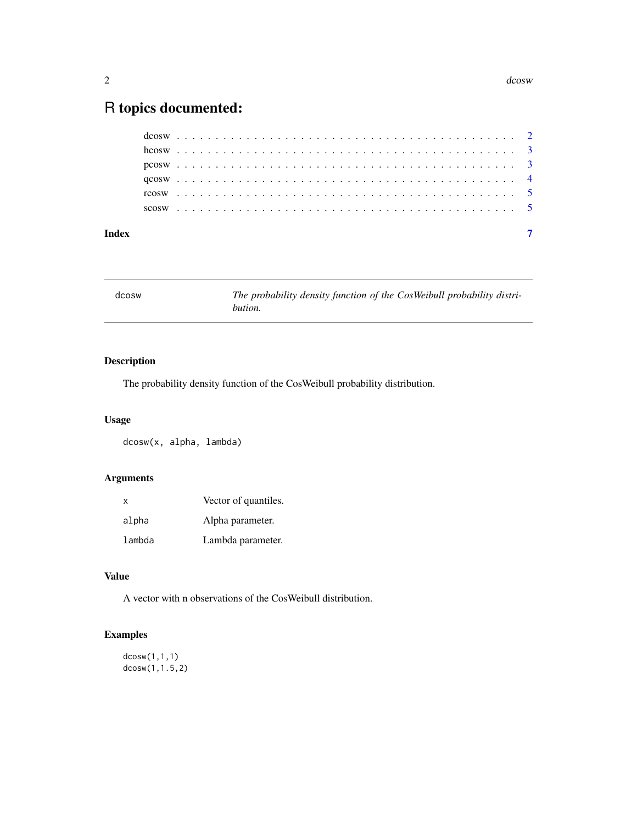## <span id="page-1-0"></span>R topics documented:

| Index |  |  |  |  |  |  |  |  |  |  |  |  |  |  |  |  |  |  |  |  |  |  |  |  |
|-------|--|--|--|--|--|--|--|--|--|--|--|--|--|--|--|--|--|--|--|--|--|--|--|--|
|       |  |  |  |  |  |  |  |  |  |  |  |  |  |  |  |  |  |  |  |  |  |  |  |  |
|       |  |  |  |  |  |  |  |  |  |  |  |  |  |  |  |  |  |  |  |  |  |  |  |  |
|       |  |  |  |  |  |  |  |  |  |  |  |  |  |  |  |  |  |  |  |  |  |  |  |  |
|       |  |  |  |  |  |  |  |  |  |  |  |  |  |  |  |  |  |  |  |  |  |  |  |  |
|       |  |  |  |  |  |  |  |  |  |  |  |  |  |  |  |  |  |  |  |  |  |  |  |  |
|       |  |  |  |  |  |  |  |  |  |  |  |  |  |  |  |  |  |  |  |  |  |  |  |  |

dcosw *The probability density function of the CosWeibull probability distribution.*

#### Description

The probability density function of the CosWeibull probability distribution.

#### Usage

dcosw(x, alpha, lambda)

#### Arguments

| X      | Vector of quantiles. |
|--------|----------------------|
| alpha  | Alpha parameter.     |
| lambda | Lambda parameter.    |

#### Value

A vector with n observations of the CosWeibull distribution.

#### Examples

```
dcosw(1,1,1)
dcosw(1,1.5,2)
```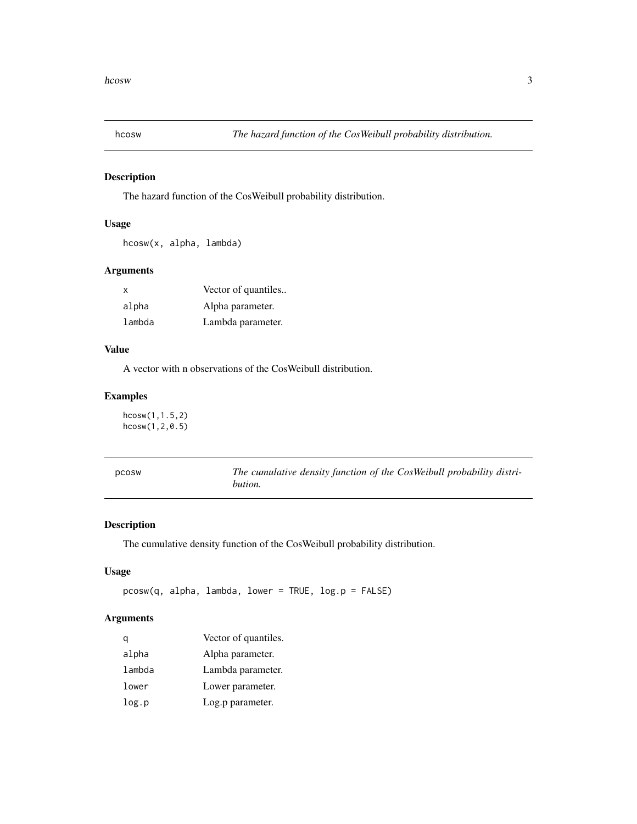<span id="page-2-0"></span>

#### Description

The hazard function of the CosWeibull probability distribution.

#### Usage

hcosw(x, alpha, lambda)

#### Arguments

| х      | Vector of quantiles |
|--------|---------------------|
| alpha  | Alpha parameter.    |
| lambda | Lambda parameter.   |

#### Value

A vector with n observations of the CosWeibull distribution.

#### Examples

hcosw(1,1.5,2) hcosw(1,2,0.5)

| pcosw | The cumulative density function of the CosWeibull probability distri- |
|-------|-----------------------------------------------------------------------|
|       | bution.                                                               |

#### Description

The cumulative density function of the CosWeibull probability distribution.

#### Usage

```
pcosw(q, alpha, lambda, lower = TRUE, log.p = FALSE)
```
#### Arguments

| a      | Vector of quantiles. |
|--------|----------------------|
| alpha  | Alpha parameter.     |
| lambda | Lambda parameter.    |
| lower  | Lower parameter.     |
| log.p  | Log.p parameter.     |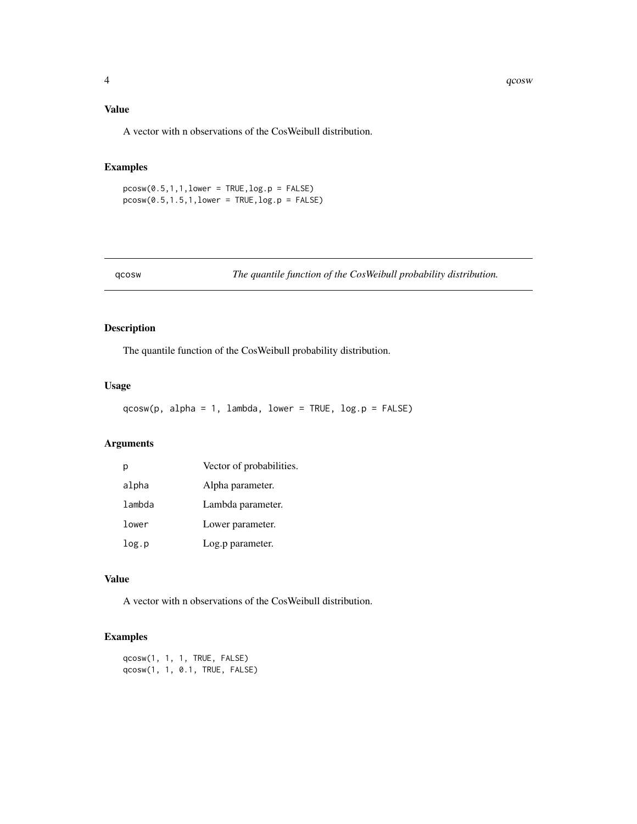#### <span id="page-3-0"></span>Value

A vector with n observations of the CosWeibull distribution.

#### Examples

 $pcosw(0.5, 1, 1, 1)$  and  $p = TRUE$ ,  $log.p = FALSE$  $pcosw(0.5, 1.5, 1, lower = TRUE, log.p = FALSE)$ 

qcosw *The quantile function of the CosWeibull probability distribution.*

#### Description

The quantile function of the CosWeibull probability distribution.

#### Usage

 $qcosw(p, alpha = 1, lambda, lower = TRUE, log.p = FALSE)$ 

#### Arguments

| р      | Vector of probabilities. |
|--------|--------------------------|
| alpha  | Alpha parameter.         |
| lambda | Lambda parameter.        |
| lower  | Lower parameter.         |
| log.p  | Log.p parameter.         |

#### Value

A vector with n observations of the CosWeibull distribution.

#### Examples

qcosw(1, 1, 1, TRUE, FALSE) qcosw(1, 1, 0.1, TRUE, FALSE)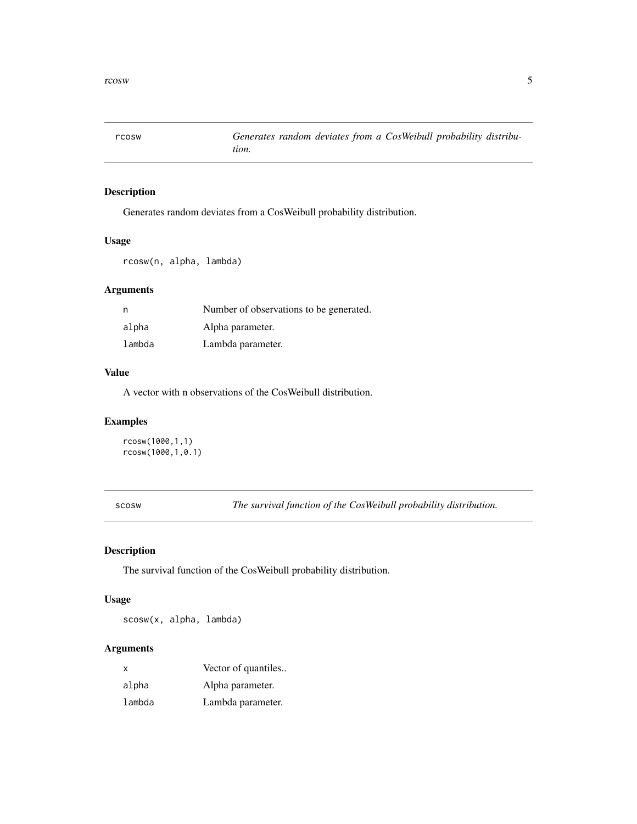<span id="page-4-0"></span>

#### Description

Generates random deviates from a CosWeibull probability distribution.

#### Usage

rcosw(n, alpha, lambda)

#### Arguments

| n      | Number of observations to be generated. |
|--------|-----------------------------------------|
| alpha  | Alpha parameter.                        |
| lambda | Lambda parameter.                       |

#### Value

A vector with n observations of the CosWeibull distribution.

#### Examples

```
rcosw(1000,1,1)
rcosw(1000,1,0.1)
```
scosw *The survival function of the CosWeibull probability distribution.*

#### Description

The survival function of the CosWeibull probability distribution.

#### Usage

scosw(x, alpha, lambda)

#### Arguments

| x      | Vector of quantiles |
|--------|---------------------|
| alpha  | Alpha parameter.    |
| lambda | Lambda parameter.   |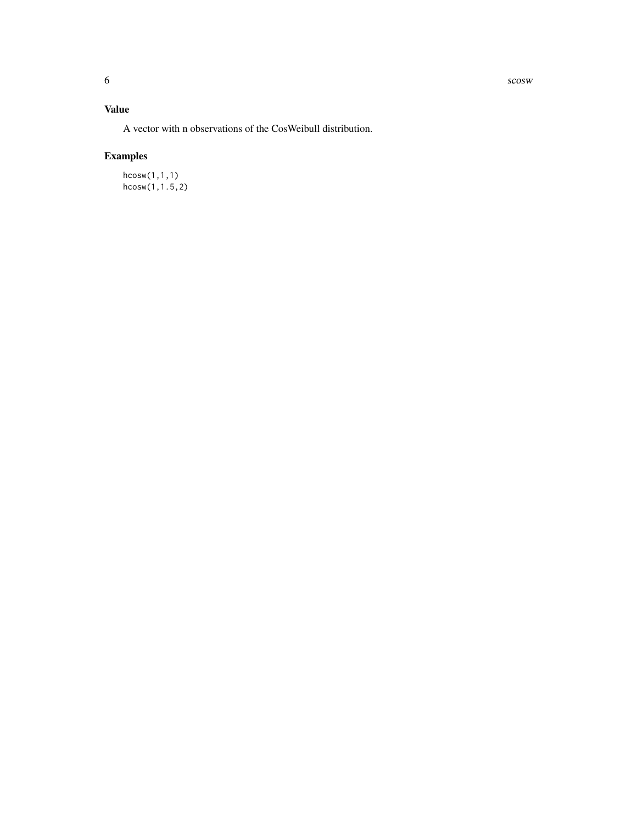6 scosw scosw scosw scosw scosw scosw scosw scosw scosw scosw scosw scosw scosw scosw scosw scosw scosw scosw

#### Value

A vector with n observations of the CosWeibull distribution.

### Examples

hcosw(1,1,1) hcosw(1,1.5,2)